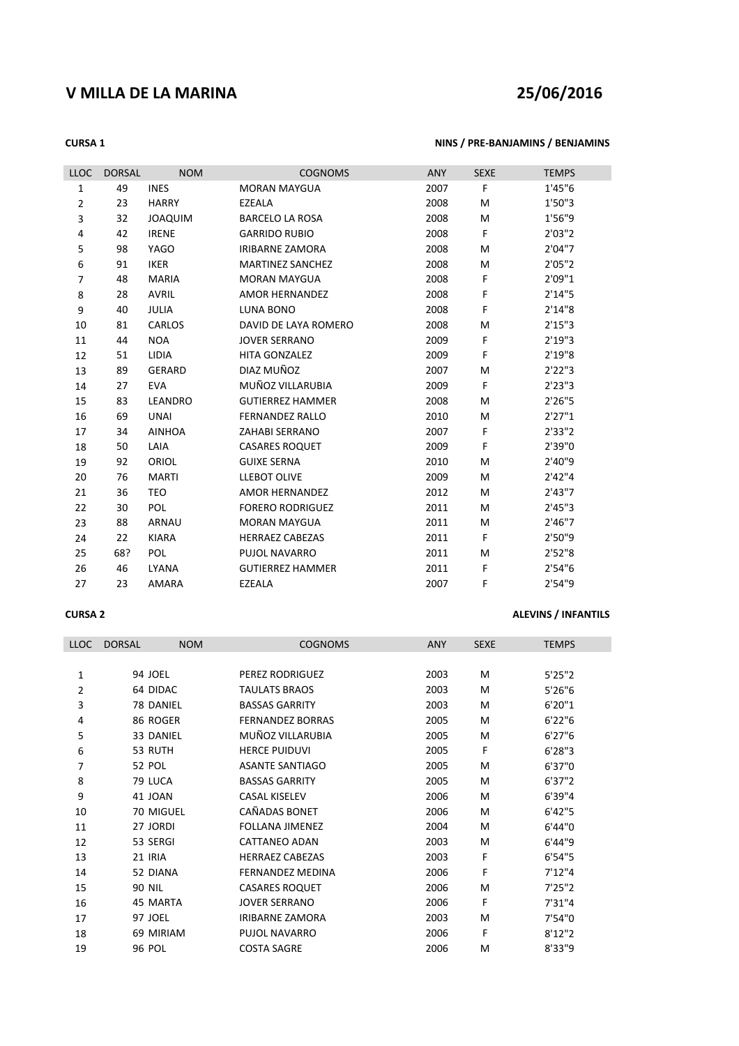# **V MILLA DE LA MARINA 25/06/2016**

## **CURSA 1 NINS / PRE-BANJAMINS / BENJAMINS**

| <b>LLOC</b>    | <b>DORSAL</b> | <b>NOM</b>     | <b>COGNOMS</b>          | <b>ANY</b> | <b>SEXE</b> | <b>TEMPS</b> |
|----------------|---------------|----------------|-------------------------|------------|-------------|--------------|
| $\mathbf{1}$   | 49            | <b>INES</b>    | <b>MORAN MAYGUA</b>     | 2007       | F           | 1'45"6       |
| $\overline{2}$ | 23            | <b>HARRY</b>   | EZEALA                  | 2008       | M           | 1'50"3       |
| 3              | 32            | <b>JOAQUIM</b> | <b>BARCELO LA ROSA</b>  | 2008       | M           | 1'56"9       |
| 4              | 42            | <b>IRENE</b>   | <b>GARRIDO RUBIO</b>    | 2008       | F.          | 2'03''2      |
| 5              | 98            | <b>YAGO</b>    | <b>IRIBARNE ZAMORA</b>  | 2008       | M           | 2'04"7       |
| 6              | 91            | <b>IKER</b>    | <b>MARTINEZ SANCHEZ</b> | 2008       | М           | 2'05''2      |
| 7              | 48            | <b>MARIA</b>   | <b>MORAN MAYGUA</b>     | 2008       | F           | 2'09"1       |
| 8              | 28            | <b>AVRIL</b>   | <b>AMOR HERNANDEZ</b>   | 2008       | F           | 2'14''5      |
| 9              | 40            | <b>JULIA</b>   | <b>LUNA BONO</b>        | 2008       | F           | 2'14''8      |
| 10             | 81            | <b>CARLOS</b>  | DAVID DE LAYA ROMERO    | 2008       | M           | 2'15''3      |
| 11             | 44            | <b>NOA</b>     | <b>JOVER SERRANO</b>    | 2009       | F.          | 2'19''3      |
| 12             | 51            | LIDIA          | <b>HITA GONZALEZ</b>    | 2009       | F           | 2'19"8       |
| 13             | 89            | <b>GERARD</b>  | DIAZ MUÑOZ              | 2007       | M           | 2'22''3      |
| 14             | 27            | <b>EVA</b>     | MUÑOZ VILLARUBIA        | 2009       | F           | 2'23''3      |
| 15             | 83            | LEANDRO        | <b>GUTIERREZ HAMMER</b> | 2008       | M           | 2'26"5       |
| 16             | 69            | <b>UNAI</b>    | <b>FERNANDEZ RALLO</b>  | 2010       | M           | 2'27"1       |
| 17             | 34            | <b>AINHOA</b>  | <b>ZAHABI SERRANO</b>   | 2007       | F           | 2'33''2      |
| 18             | 50            | LAIA           | <b>CASARES ROQUET</b>   | 2009       | F           | 2'39"0       |
| 19             | 92            | <b>ORIOL</b>   | <b>GUIXE SERNA</b>      | 2010       | M           | 2'40"9       |
| 20             | 76            | <b>MARTI</b>   | <b>LLEBOT OLIVE</b>     | 2009       | М           | 2'42''4      |
| 21             | 36            | <b>TEO</b>     | <b>AMOR HERNANDEZ</b>   | 2012       | M           | 2'43''7      |
| 22             | 30            | POL            | <b>FORERO RODRIGUEZ</b> | 2011       | M           | 2'45''3      |
| 23             | 88            | <b>ARNAU</b>   | <b>MORAN MAYGUA</b>     | 2011       | M           | 2'46''7      |
| 24             | 22            | <b>KIARA</b>   | <b>HERRAEZ CABEZAS</b>  | 2011       | F.          | 2'50"9       |
| 25             | 68?           | POL            | PUJOL NAVARRO           | 2011       | M           | 2'52''8      |
| 26             | 46            | <b>LYANA</b>   | <b>GUTIERREZ HAMMER</b> | 2011       | F           | 2'54''6      |
| 27             | 23            | AMARA          | <b>EZEALA</b>           | 2007       | F           | 2'54"9       |

# **CURSA 2 ALEVINS / INFANTILS**

| <b>LLOC</b> | <b>DORSAL</b> | <b>NOM</b> | <b>COGNOMS</b>          | <b>ANY</b> | <b>SEXE</b> | <b>TEMPS</b> |
|-------------|---------------|------------|-------------------------|------------|-------------|--------------|
|             |               |            |                         |            |             |              |
| 1           | 94 JOEL       |            | PEREZ RODRIGUEZ         | 2003       | M           | 5'25"2       |
| 2           | 64 DIDAC      |            | <b>TAULATS BRAOS</b>    | 2003       | M           | 5'26"6       |
| 3           | 78 DANIEL     |            | <b>BASSAS GARRITY</b>   | 2003       | M           | 6'20"1       |
| 4           | 86 ROGER      |            | <b>FERNANDEZ BORRAS</b> | 2005       | M           | 6'22''6      |
| 5           | 33 DANIEL     |            | MUÑOZ VILLARUBIA        | 2005       | M           | 6'27''6      |
| 6           | 53 RUTH       |            | <b>HERCE PUIDUVI</b>    | 2005       | F           | 6'28''3      |
| 7           | <b>52 POL</b> |            | <b>ASANTE SANTIAGO</b>  | 2005       | M           | 6'37"0       |
| 8           | 79 LUCA       |            | <b>BASSAS GARRITY</b>   | 2005       | M           | 6'37''2      |
| 9           | 41 JOAN       |            | <b>CASAL KISELEV</b>    | 2006       | M           | 6'39"4       |
| 10          |               | 70 MIGUEL  | CAÑADAS BONET           | 2006       | M           | 6'42''5      |
| 11          | 27 JORDI      |            | <b>FOLLANA JIMENEZ</b>  | 2004       | M           | 6'44"0       |
| 12          | 53 SERGI      |            | <b>CATTANEO ADAN</b>    | 2003       | M           | 6'44"9       |
| 13          | 21 IRIA       |            | <b>HERRAEZ CABEZAS</b>  | 2003       | F           | 6'54''5      |
| 14          | 52 DIANA      |            | <b>FERNANDEZ MEDINA</b> | 2006       | F           | 7'12''4      |
| 15          | <b>90 NIL</b> |            | <b>CASARES ROQUET</b>   | 2006       | M           | 7'25"2       |
| 16          | 45 MARTA      |            | <b>JOVER SERRANO</b>    | 2006       | F           | 7'31''4      |
| 17          | 97 JOEL       |            | <b>IRIBARNE ZAMORA</b>  | 2003       | M           | 7'54"0       |
| 18          | 69 MIRIAM     |            | <b>PUJOL NAVARRO</b>    | 2006       | F           | 8'12''2      |
| 19          | <b>96 POL</b> |            | <b>COSTA SAGRE</b>      | 2006       | M           | 8'33"9       |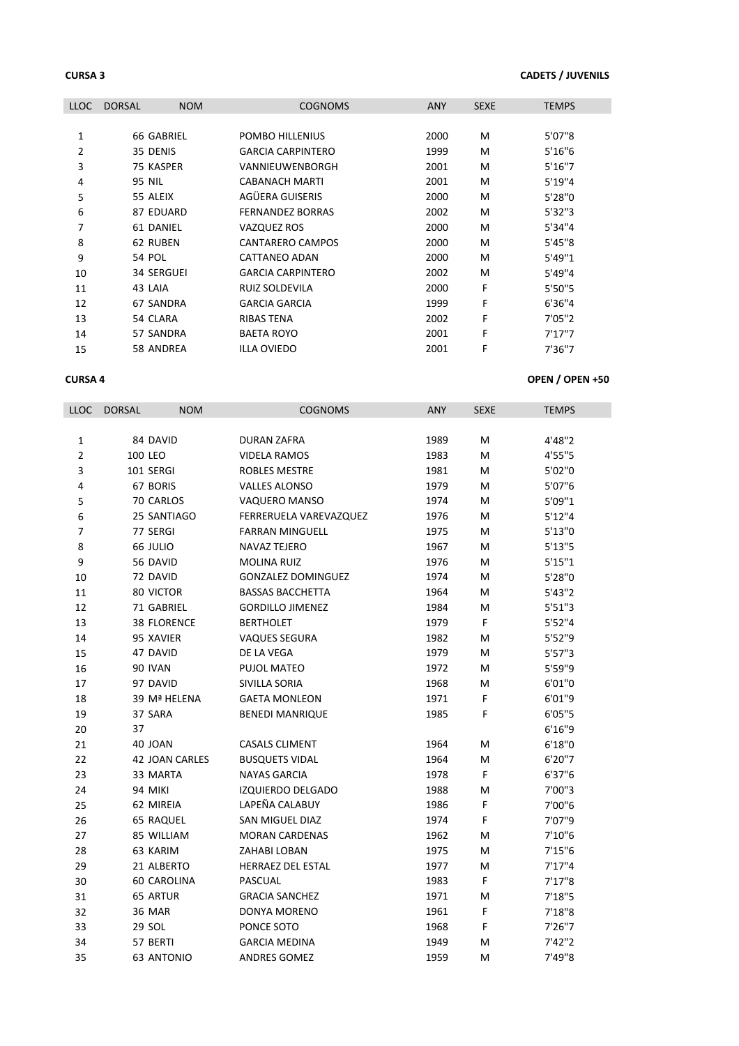# **CURSA 3 CADETS / JUVENILS**

| <b>LLOC</b> | <b>DORSAL</b> | <b>NOM</b>        | <b>COGNOMS</b>           | <b>ANY</b> | <b>SEXE</b> | <b>TEMPS</b> |
|-------------|---------------|-------------------|--------------------------|------------|-------------|--------------|
|             |               |                   |                          |            |             |              |
| 1           |               | 66 GABRIEL        | POMBO HILLENIUS          | 2000       | M           | 5'07"8       |
| 2           | 35 DENIS      |                   | <b>GARCIA CARPINTERO</b> | 1999       | M           | 5'16''6      |
| 3           | 75 KASPER     |                   | VANNIEUWENBORGH          | 2001       | м           | 5'16''7      |
| 4           | 95 NIL        |                   | <b>CABANACH MARTI</b>    | 2001       | M           | 5'19''4      |
| 5           | 55 ALEIX      |                   | AGÜERA GUISERIS          | 2000       | м           | 5'28"0       |
| 6           |               | 87 EDUARD         | <b>FERNANDEZ BORRAS</b>  | 2002       | м           | 5'32''3      |
| 7           | 61 DANIEL     |                   | VAZQUEZ ROS              | 2000       | M           | 5'34"4       |
| 8           | 62 RUBEN      |                   | CANTARERO CAMPOS         | 2000       | M           | 5'45"8       |
| 9           | <b>54 POL</b> |                   | CATTANEO ADAN            | 2000       | M           | 5'49"1       |
| 10          |               | <b>34 SERGUEI</b> | <b>GARCIA CARPINTERO</b> | 2002       | м           | 5'49"4       |
| 11          | 43 LAIA       |                   | <b>RUIZ SOLDEVILA</b>    | 2000       | F           | 5'50"5       |
| 12          |               | 67 SANDRA         | <b>GARCIA GARCIA</b>     | 1999       | F           | 6'36''4      |
| 13          | 54 CLARA      |                   | <b>RIBAS TENA</b>        | 2002       | F           | 7'05''2      |
| 14          |               | 57 SANDRA         | <b>BAETA ROYO</b>        | 2001       | F           | 7'17''7      |
| 15          |               | 58 ANDREA         | <b>ILLA OVIEDO</b>       | 2001       | F           | 7'36"7       |

## **CURSA 4 OPEN / OPEN +50**

| LLOC           | <b>DORSAL</b> | <b>NOM</b>            | <b>COGNOMS</b>            | <b>ANY</b> | <b>SEXE</b> | TEMPS     |
|----------------|---------------|-----------------------|---------------------------|------------|-------------|-----------|
|                |               |                       |                           |            |             |           |
| 1              |               | 84 DAVID              | <b>DURAN ZAFRA</b>        | 1989       | M           | 4'48"2    |
| $\overline{2}$ |               | 100 LEO               | <b>VIDELA RAMOS</b>       | 1983       | M           | 4'55"5    |
| 3              |               | 101 SERGI             | <b>ROBLES MESTRE</b>      | 1981       | M           | 5'02"0    |
| 4              |               | 67 BORIS              | <b>VALLES ALONSO</b>      | 1979       | M           | 5'07"6    |
| 5              |               | 70 CARLOS             | VAQUERO MANSO             | 1974       | M           | 5'09"1    |
| 6              |               | 25 SANTIAGO           | FERRERUELA VAREVAZQUEZ    | 1976       | M           | 5'12''4   |
| $\overline{7}$ |               | 77 SERGI              | <b>FARRAN MINGUELL</b>    | 1975       | M           | $5'13''0$ |
| 8              |               | 66 JULIO              | <b>NAVAZ TEJERO</b>       | 1967       | M           | 5'13''5   |
| 9              |               | 56 DAVID              | <b>MOLINA RUIZ</b>        | 1976       | M           | 5'15"1    |
| 10             |               | 72 DAVID              | <b>GONZALEZ DOMINGUEZ</b> | 1974       | М           | 5'28"0    |
| 11             |               | 80 VICTOR             | <b>BASSAS BACCHETTA</b>   | 1964       | M           | 5'43''2   |
| 12             |               | 71 GABRIEL            | <b>GORDILLO JIMENEZ</b>   | 1984       | M           | 5'51''3   |
| 13             |               | <b>38 FLORENCE</b>    | <b>BERTHOLET</b>          | 1979       | F           | 5'52''4   |
| 14             |               | 95 XAVIER             | <b>VAQUES SEGURA</b>      | 1982       | M           | 5'52"9    |
| 15             |               | 47 DAVID              | DE LA VEGA                | 1979       | M           | 5'57''3   |
| 16             |               | 90 IVAN               | PUJOL MATEO               | 1972       | м           | 5'59"9    |
| 17             |               | 97 DAVID              | SIVILLA SORIA             | 1968       | M           | 6'01"0    |
| 18             |               | 39 Mª HELENA          | <b>GAETA MONLEON</b>      | 1971       | F.          | 6'01"9    |
| 19             |               | 37 SARA               | <b>BENEDI MANRIQUE</b>    | 1985       | F           | 6'05''5   |
| 20             | 37            |                       |                           |            |             | 6'16"9    |
| 21             |               | 40 JOAN               | <b>CASALS CLIMENT</b>     | 1964       | M           | 6'18''0   |
| 22             |               | <b>42 JOAN CARLES</b> | <b>BUSQUETS VIDAL</b>     | 1964       | M           | 6'20''7   |
| 23             |               | 33 MARTA              | <b>NAYAS GARCIA</b>       | 1978       | F           | 6'37''6   |
| 24             |               | 94 MIKI               | IZQUIERDO DELGADO         | 1988       | M           | 7'00"3    |
| 25             |               | 62 MIREIA             | LAPEÑA CALABUY            | 1986       | F           | 7'00"6    |
| 26             |               | <b>65 RAQUEL</b>      | SAN MIGUEL DIAZ           | 1974       | F           | 7'07"9    |
| 27             |               | 85 WILLIAM            | <b>MORAN CARDENAS</b>     | 1962       | M           | 7'10"6    |
| 28             |               | 63 KARIM              | ZAHABI LOBAN              | 1975       | M           | 7'15''6   |
| 29             |               | 21 ALBERTO            | <b>HERRAEZ DEL ESTAL</b>  | 1977       | M           | 7'17''4   |
| 30             |               | 60 CAROLINA           | PASCUAL                   | 1983       | F           | 7'17''8   |
| 31             |               | 65 ARTUR              | <b>GRACIA SANCHEZ</b>     | 1971       | M           | 7'18"5    |
| 32             |               | <b>36 MAR</b>         | DONYA MORENO              | 1961       | F           | 7'18''8   |
| 33             |               | 29 SOL                | PONCE SOTO                | 1968       | F           | 7'26''7   |
| 34             |               | 57 BERTI              | <b>GARCIA MEDINA</b>      | 1949       | м           | 7'42''2   |
| 35             |               | <b>63 ANTONIO</b>     | <b>ANDRES GOMEZ</b>       | 1959       | м           | 7'49"8    |
|                |               |                       |                           |            |             |           |